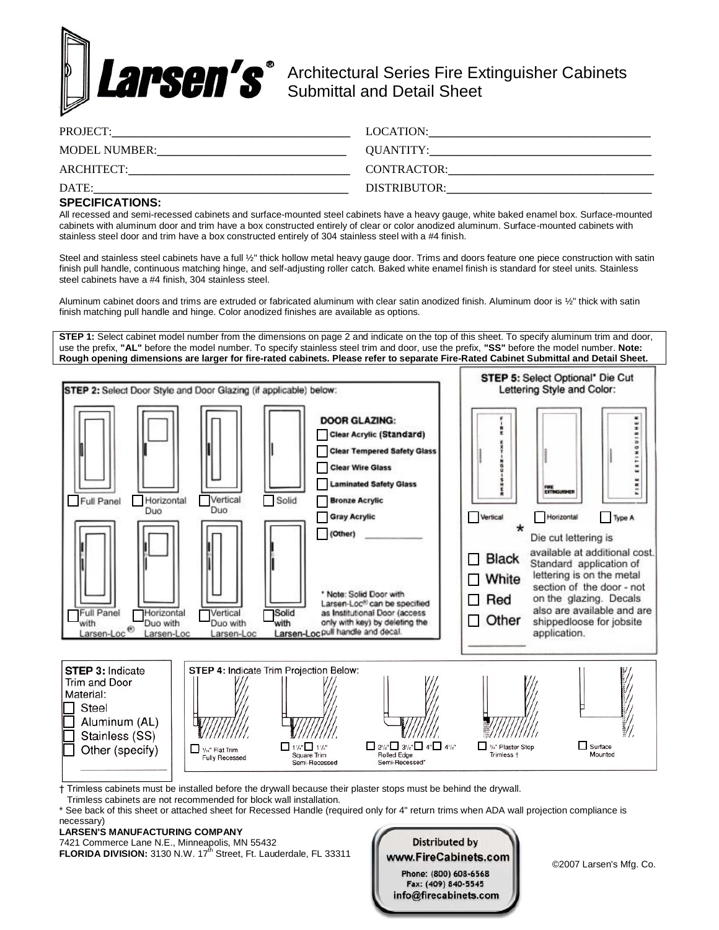

Architectural Series Fire Extinguisher Cabinets Submittal and Detail Sheet

| PROJECT:             | LOCATION:    |
|----------------------|--------------|
| <b>MODEL NUMBER:</b> | QUANTITY:    |
| ARCHITECT:           | CONTRACTOR:  |
| DATE:                | DISTRIBUTOR: |

## **SPECIFICATIONS:**

All recessed and semi-recessed cabinets and surface-mounted steel cabinets have a heavy gauge, white baked enamel box. Surface-mounted cabinets with aluminum door and trim have a box constructed entirely of clear or color anodized aluminum. Surface-mounted cabinets with stainless steel door and trim have a box constructed entirely of 304 stainless steel with a #4 finish.

Steel and stainless steel cabinets have a full 1/2" thick hollow metal heavy gauge door. Trims and doors feature one piece construction with satin finish pull handle, continuous matching hinge, and self-adjusting roller catch. Baked white enamel finish is standard for steel units. Stainless steel cabinets have a #4 finish, 304 stainless steel.

Aluminum cabinet doors and trims are extruded or fabricated aluminum with clear satin anodized finish. Aluminum door is ½" thick with satin finish matching pull handle and hinge. Color anodized finishes are available as options.

**STEP 1:** Select cabinet model number from the dimensions on page 2 and indicate on the top of this sheet. To specify aluminum trim and door, use the prefix, **"AL"** before the model number. To specify stainless steel trim and door, use the prefix, **"SS"** before the model number. **Note: Rough opening dimensions are larger for fire-rated cabinets. Please refer to separate Fire-Rated Cabinet Submittal and Detail Sheet.**



† Trimless cabinets must be installed before the drywall because their plaster stops must be behind the drywall.

Trimless cabinets are not recommended for block wall installation.

See back of this sheet or attached sheet for Recessed Handle (required only for 4" return trims when ADA wall projection compliance is

#### necessary) **LARSEN'S MANUFACTURING COMPANY**

7421 Commerce Lane N.E., Minneapolis, MN 55432

**FLORIDA DIVISION:** 3130 N.W. 17<sup>th</sup> Street, Ft. Lauderdale, FL 33311

**Distributed by** WWW.FireCabinets.com<br>Phone: (800) 608-6568 Fax: (409) 840-5545 info@firecabinets.com